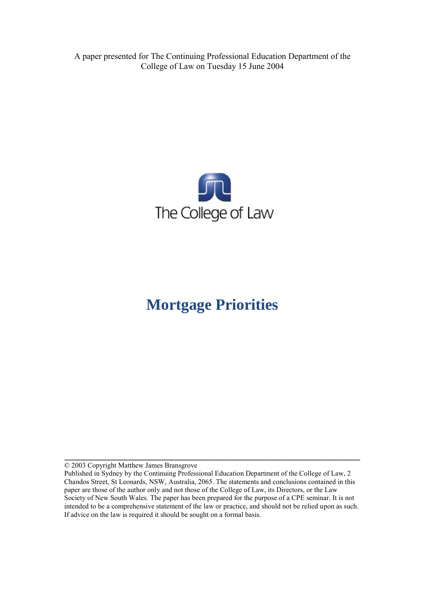A paper presented for The Continuing Professional Education Department of the College of Law on Tuesday 15 June 2004



# **Mortgage Priorities**

© 2003 Copyright Matthew James Bransgrove

**\_\_\_\_\_\_\_\_\_\_\_\_\_\_\_\_\_\_\_\_\_\_\_\_\_\_\_\_\_\_\_\_\_\_\_\_\_\_\_\_\_\_\_\_\_\_\_\_\_\_\_\_\_\_\_\_\_\_\_\_\_\_\_\_\_\_\_\_\_** 

Published in Sydney by the Continuing Professional Education Department of the College of Law, 2 Chandos Street, St Leonards, NSW, Australia, 2065. The statements and conclusions contained in this paper are those of the author only and not those of the College of Law, its Directors, or the Law Society of New South Wales. The paper has been prepared for the purpose of a CPE seminar. It is not intended to be a comprehensive statement of the law or practice, and should not be relied upon as such. If advice on the law is required it should be sought on a formal basis.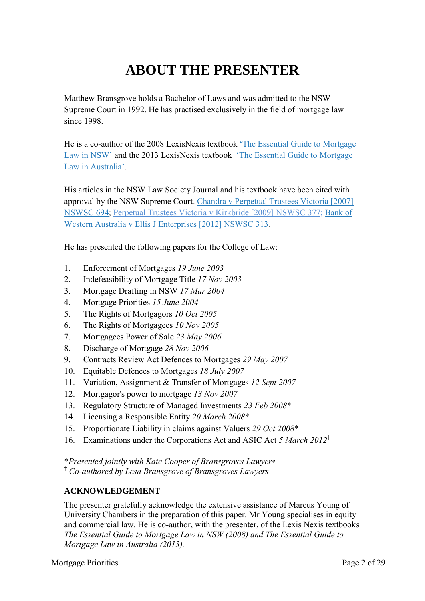# **ABOUT THE PRESENTER**

Matthew Bransgrove holds a Bachelor of Laws and was admitted to the NSW Supreme Court in 1992. He has practised exclusively in the field of mortgage law since 1998.

He is a co-author of the 2008 LexisNexis textbook ['The Essential Guide to Mortgage](http://www.bransgroves.com.au/documents/PDF/Book/OrderForm3LR.pdf) [Law in](http://www.bransgroves.com.au/documents/PDF/Book/OrderForm3LR.pdf) NSW' and the 2013 LexisNexis textbook ['The Essential Guide to Mortgage](http://www.bransgroves.com.au/documents/PDF/Book/EGMLA2ndEdition.pdf) Law in [Australia'.](http://www.bransgroves.com.au/documents/PDF/Book/EGMLA2ndEdition.pdf)

His articles in the NSW Law Society Journal and his textbook have been cited with approval by the NSW Supreme Court. [Chandra v Perpetual Trustees Victoria \[2007\]](http://www.austlii.edu.au/au/cases/nsw/NSWSC/2007/694.html) [NSWSC 694;](http://www.austlii.edu.au/au/cases/nsw/NSWSC/2007/694.html) [Perpetual Trustees Victoria v Kirkbride \[2009\] NSWSC 377;](http://www.austlii.edu.au/au/cases/nsw/NSWSC/2009/377.html) [Bank](http://www.austlii.edu.au/au/cases/nsw/NSWSC/2012/313.html) of [Western Australia v Ellis J Enterprises](http://www.austlii.edu.au/au/cases/nsw/NSWSC/2012/313.html) [2012] NSWSC 313.

He has presented the following papers for the College of Law:

- 1. Enforcement of Mortgages *19 June 2003*
- 2. Indefeasibility of Mortgage Title *17 Nov 2003*
- 3. Mortgage Drafting in NSW *17 Mar 2004*
- 4. Mortgage Priorities *15 June 2004*
- 5. The Rights of Mortgagors *10 Oct 2005*
- 6. The Rights of Mortgagees *10 Nov 2005*
- 7. Mortgagees Power of Sale *23 May 2006*
- 8. Discharge of Mortgage *28 Nov 2006*
- 9. Contracts Review Act Defences to Mortgages *29 May 2007*
- 10. Equitable Defences to Mortgages *18 July 2007*
- 11. Variation, Assignment & Transfer of Mortgages *12 Sept 2007*
- 12. Mortgagor's power to mortgage *13 Nov 2007*
- 13. Regulatory Structure of Managed Investments *23 Feb 2008*\*
- 14. Licensing a Responsible Entity *20 March 2008*\*
- 15. Proportionate Liability in claims against Valuers *29 Oct 2008*\*
- 16. Examinations under the Corporations Act and ASIC Act *5 March 2012*†

\**Presented jointly with Kate Cooper of Bransgroves Lawyers* † *Co-authored by Lesa Bransgrove of Bransgroves Lawyers*

#### **ACKNOWLEDGEMENT**

The presenter gratefully acknowledge the extensive assistance of Marcus Young of University Chambers in the preparation of this paper. Mr Young specialises in equity and commercial law. He is co-author, with the presenter, of the Lexis Nexis textbooks *The Essential Guide to Mortgage Law in NSW (2008) and The Essential Guide to Mortgage Law in Australia (2013).*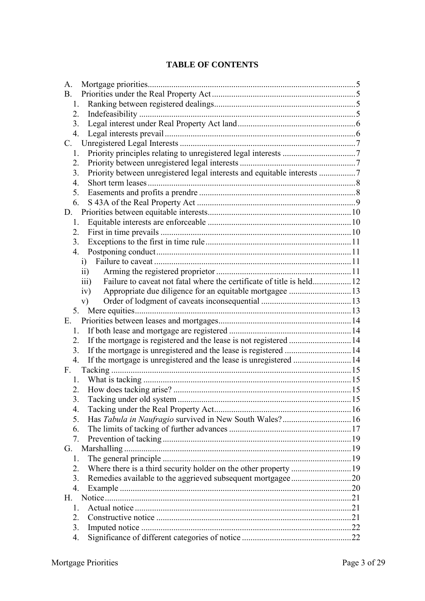### **TABLE OF CONTENTS**

| A.                                                                            |  |
|-------------------------------------------------------------------------------|--|
| <b>B.</b>                                                                     |  |
| 1.                                                                            |  |
| 2.                                                                            |  |
| 3.                                                                            |  |
| 4.                                                                            |  |
| C.                                                                            |  |
| 1.                                                                            |  |
| 2.                                                                            |  |
| Priority between unregistered legal interests and equitable interests 7<br>3. |  |
| $\overline{4}$ .                                                              |  |
| 5.                                                                            |  |
| 6.                                                                            |  |
|                                                                               |  |
| 1.                                                                            |  |
| 2.                                                                            |  |
| 3.                                                                            |  |
| 4.                                                                            |  |
| i)                                                                            |  |
| $\overline{11}$                                                               |  |
| $\overline{111}$                                                              |  |
| Appropriate due diligence for an equitable mortgagee 13<br>iv)                |  |
| V)                                                                            |  |
|                                                                               |  |
| Е.                                                                            |  |
| $1_{-}$                                                                       |  |
| 2.                                                                            |  |
| 3.                                                                            |  |
| If the mortgage is unregistered and the lease is unregistered  14<br>4.       |  |
| F.                                                                            |  |
| 1.                                                                            |  |
| 2.                                                                            |  |
| 3.                                                                            |  |
| 4.                                                                            |  |
| Has Tabula in Naufragio survived in New South Wales? 16<br>5.                 |  |
| 6.                                                                            |  |
| 7 <sub>1</sub>                                                                |  |
|                                                                               |  |
| G.                                                                            |  |
| 1.                                                                            |  |
| 2.                                                                            |  |
| Remedies available to the aggrieved subsequent mortgagee20<br>3.              |  |
| $\overline{4}$ .                                                              |  |
| H.                                                                            |  |
| 1                                                                             |  |
| 2.                                                                            |  |
| 3.                                                                            |  |
| 4.                                                                            |  |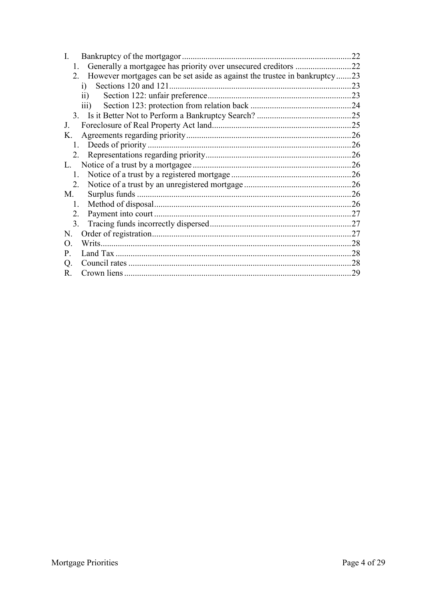| Bankruptcy of the mortgagor.<br>$\mathbf{I}$                                  | 22  |
|-------------------------------------------------------------------------------|-----|
| $\mathbf{1}$                                                                  | .22 |
| However mortgages can be set aside as against the trustee in bankruptcy<br>2. | .23 |
| Sections 120 and 121.<br>i)                                                   | 23  |
| $\rm ii)$                                                                     | 23  |
| $\overline{iii}$                                                              | .24 |
|                                                                               |     |
| $\bf{J}$                                                                      | 25  |
| K.                                                                            | .26 |
| 1.                                                                            | 26  |
| 2.                                                                            | 26  |
|                                                                               | 26  |
| $\mathbf{1}$                                                                  | .26 |
| 2                                                                             |     |
| M.                                                                            | .26 |
| 1.                                                                            | 26  |
| 2 <sub>1</sub>                                                                | 27  |
| 3.                                                                            | 27  |
| N.                                                                            | 27  |
| $\Omega$                                                                      | 28  |
| P.                                                                            | 28  |
| Q.                                                                            | 28  |
| R.                                                                            | 29  |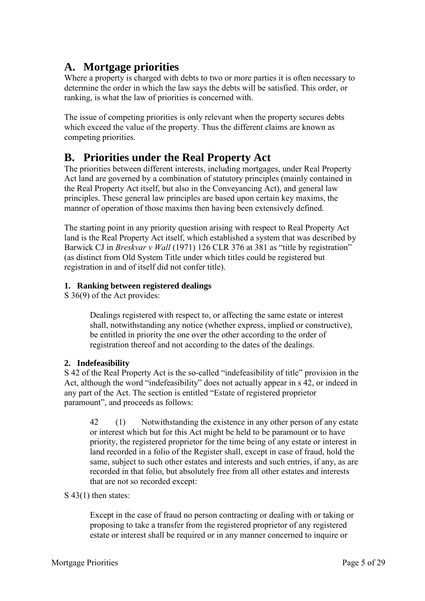# **A. Mortgage priorities**

Where a property is charged with debts to two or more parties it is often necessary to determine the order in which the law says the debts will be satisfied. This order, or ranking, is what the law of priorities is concerned with.

The issue of competing priorities is only relevant when the property secures debts which exceed the value of the property. Thus the different claims are known as competing priorities.

# **B. Priorities under the Real Property Act**

The priorities between different interests, including mortgages, under Real Property Act land are governed by a combination of statutory principles (mainly contained in the Real Property Act itself, but also in the Conveyancing Act), and general law principles. These general law principles are based upon certain key maxims, the manner of operation of those maxims then having been extensively defined.

The starting point in any priority question arising with respect to Real Property Act land is the Real Property Act itself, which established a system that was described by Barwick CJ in *Breskvar v Wall* (1971) 126 CLR 376 at 381 as "title by registration" (as distinct from Old System Title under which titles could be registered but registration in and of itself did not confer title).

### **1. Ranking between registered dealings**

S 36(9) of the Act provides:

Dealings registered with respect to, or affecting the same estate or interest shall, notwithstanding any notice (whether express, implied or constructive), be entitled in priority the one over the other according to the order of registration thereof and not according to the dates of the dealings.

### **2. Indefeasibility**

S 42 of the Real Property Act is the so-called "indefeasibility of title" provision in the Act, although the word "indefeasibility" does not actually appear in s 42, or indeed in any part of the Act. The section is entitled "Estate of registered proprietor paramount", and proceeds as follows:

42 (1) Notwithstanding the existence in any other person of any estate or interest which but for this Act might be held to be paramount or to have priority, the registered proprietor for the time being of any estate or interest in land recorded in a folio of the Register shall, except in case of fraud, hold the same, subject to such other estates and interests and such entries, if any, as are recorded in that folio, but absolutely free from all other estates and interests that are not so recorded except:

### S 43(1) then states:

Except in the case of fraud no person contracting or dealing with or taking or proposing to take a transfer from the registered proprietor of any registered estate or interest shall be required or in any manner concerned to inquire or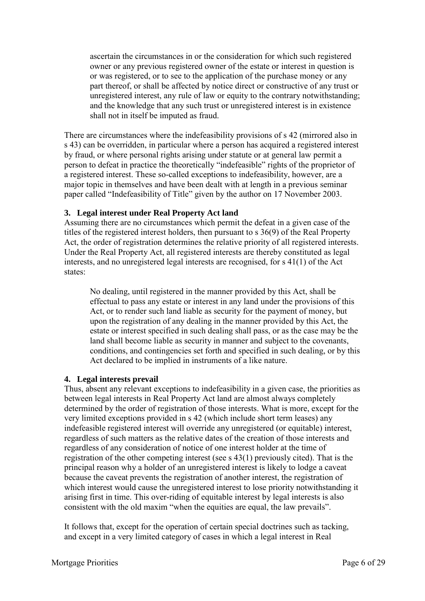ascertain the circumstances in or the consideration for which such registered owner or any previous registered owner of the estate or interest in question is or was registered, or to see to the application of the purchase money or any part thereof, or shall be affected by notice direct or constructive of any trust or unregistered interest, any rule of law or equity to the contrary notwithstanding; and the knowledge that any such trust or unregistered interest is in existence shall not in itself be imputed as fraud.

There are circumstances where the indefeasibility provisions of s 42 (mirrored also in s 43) can be overridden, in particular where a person has acquired a registered interest by fraud, or where personal rights arising under statute or at general law permit a person to defeat in practice the theoretically "indefeasible" rights of the proprietor of a registered interest. These so-called exceptions to indefeasibility, however, are a major topic in themselves and have been dealt with at length in a previous seminar paper called "Indefeasibility of Title" given by the author on 17 November 2003.

#### **3. Legal interest under Real Property Act land**

Assuming there are no circumstances which permit the defeat in a given case of the titles of the registered interest holders, then pursuant to s 36(9) of the Real Property Act, the order of registration determines the relative priority of all registered interests. Under the Real Property Act, all registered interests are thereby constituted as legal interests, and no unregistered legal interests are recognised, for s 41(1) of the Act states:

No dealing, until registered in the manner provided by this Act, shall be effectual to pass any estate or interest in any land under the provisions of this Act, or to render such land liable as security for the payment of money, but upon the registration of any dealing in the manner provided by this Act, the estate or interest specified in such dealing shall pass, or as the case may be the land shall become liable as security in manner and subject to the covenants, conditions, and contingencies set forth and specified in such dealing, or by this Act declared to be implied in instruments of a like nature.

#### **4. Legal interests prevail**

Thus, absent any relevant exceptions to indefeasibility in a given case, the priorities as between legal interests in Real Property Act land are almost always completely determined by the order of registration of those interests. What is more, except for the very limited exceptions provided in s 42 (which include short term leases) any indefeasible registered interest will override any unregistered (or equitable) interest, regardless of such matters as the relative dates of the creation of those interests and regardless of any consideration of notice of one interest holder at the time of registration of the other competing interest (see s 43(1) previously cited). That is the principal reason why a holder of an unregistered interest is likely to lodge a caveat because the caveat prevents the registration of another interest, the registration of which interest would cause the unregistered interest to lose priority notwithstanding it arising first in time. This over-riding of equitable interest by legal interests is also consistent with the old maxim "when the equities are equal, the law prevails".

It follows that, except for the operation of certain special doctrines such as tacking, and except in a very limited category of cases in which a legal interest in Real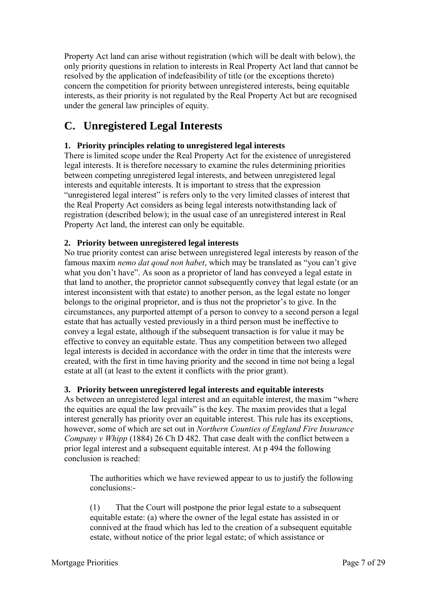Property Act land can arise without registration (which will be dealt with below), the only priority questions in relation to interests in Real Property Act land that cannot be resolved by the application of indefeasibility of title (or the exceptions thereto) concern the competition for priority between unregistered interests, being equitable interests, as their priority is not regulated by the Real Property Act but are recognised under the general law principles of equity.

# **C. Unregistered Legal Interests**

### **1. Priority principles relating to unregistered legal interests**

There is limited scope under the Real Property Act for the existence of unregistered legal interests. It is therefore necessary to examine the rules determining priorities between competing unregistered legal interests, and between unregistered legal interests and equitable interests. It is important to stress that the expression "unregistered legal interest" is refers only to the very limited classes of interest that the Real Property Act considers as being legal interests notwithstanding lack of registration (described below); in the usual case of an unregistered interest in Real Property Act land, the interest can only be equitable.

#### **2. Priority between unregistered legal interests**

No true priority contest can arise between unregistered legal interests by reason of the famous maxim *nemo dat qoud non habet*, which may be translated as "you can't give what you don't have". As soon as a proprietor of land has conveyed a legal estate in that land to another, the proprietor cannot subsequently convey that legal estate (or an interest inconsistent with that estate) to another person, as the legal estate no longer belongs to the original proprietor, and is thus not the proprietor's to give. In the circumstances, any purported attempt of a person to convey to a second person a legal estate that has actually vested previously in a third person must be ineffective to convey a legal estate, although if the subsequent transaction is for value it may be effective to convey an equitable estate. Thus any competition between two alleged legal interests is decided in accordance with the order in time that the interests were created, with the first in time having priority and the second in time not being a legal estate at all (at least to the extent it conflicts with the prior grant).

#### **3. Priority between unregistered legal interests and equitable interests**

As between an unregistered legal interest and an equitable interest, the maxim "where the equities are equal the law prevails" is the key. The maxim provides that a legal interest generally has priority over an equitable interest. This rule has its exceptions, however, some of which are set out in *Northern Counties of England Fire Insurance Company v Whipp* (1884) 26 Ch D 482. That case dealt with the conflict between a prior legal interest and a subsequent equitable interest. At p 494 the following conclusion is reached:

The authorities which we have reviewed appear to us to justify the following conclusions:-

(1) That the Court will postpone the prior legal estate to a subsequent equitable estate: (a) where the owner of the legal estate has assisted in or connived at the fraud which has led to the creation of a subsequent equitable estate, without notice of the prior legal estate; of which assistance or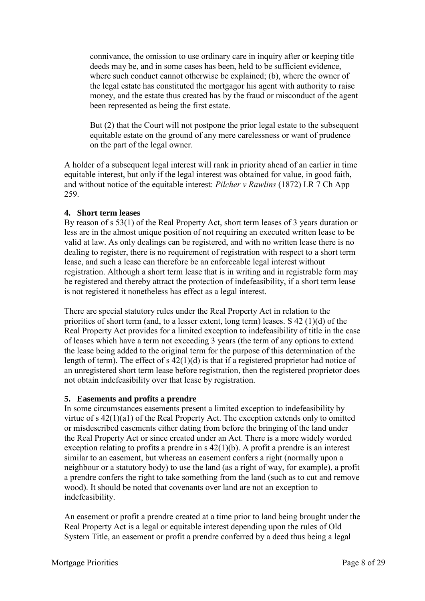connivance, the omission to use ordinary care in inquiry after or keeping title deeds may be, and in some cases has been, held to be sufficient evidence, where such conduct cannot otherwise be explained; (b), where the owner of the legal estate has constituted the mortgagor his agent with authority to raise money, and the estate thus created has by the fraud or misconduct of the agent been represented as being the first estate.

But (2) that the Court will not postpone the prior legal estate to the subsequent equitable estate on the ground of any mere carelessness or want of prudence on the part of the legal owner.

A holder of a subsequent legal interest will rank in priority ahead of an earlier in time equitable interest, but only if the legal interest was obtained for value, in good faith, and without notice of the equitable interest: *Pilcher v Rawlins* (1872) LR 7 Ch App 259.

#### **4. Short term leases**

By reason of s 53(1) of the Real Property Act, short term leases of 3 years duration or less are in the almost unique position of not requiring an executed written lease to be valid at law. As only dealings can be registered, and with no written lease there is no dealing to register, there is no requirement of registration with respect to a short term lease, and such a lease can therefore be an enforceable legal interest without registration. Although a short term lease that is in writing and in registrable form may be registered and thereby attract the protection of indefeasibility, if a short term lease is not registered it nonetheless has effect as a legal interest.

There are special statutory rules under the Real Property Act in relation to the priorities of short term (and, to a lesser extent, long term) leases. S 42 (1)(d) of the Real Property Act provides for a limited exception to indefeasibility of title in the case of leases which have a term not exceeding 3 years (the term of any options to extend the lease being added to the original term for the purpose of this determination of the length of term). The effect of s 42(1)(d) is that if a registered proprietor had notice of an unregistered short term lease before registration, then the registered proprietor does not obtain indefeasibility over that lease by registration.

#### **5. Easements and profits a prendre**

In some circumstances easements present a limited exception to indefeasibility by virtue of s 42(1)(a1) of the Real Property Act. The exception extends only to omitted or misdescribed easements either dating from before the bringing of the land under the Real Property Act or since created under an Act. There is a more widely worded exception relating to profits a prendre in s 42(1)(b). A profit a prendre is an interest similar to an easement, but whereas an easement confers a right (normally upon a neighbour or a statutory body) to use the land (as a right of way, for example), a profit a prendre confers the right to take something from the land (such as to cut and remove wood). It should be noted that covenants over land are not an exception to indefeasibility.

An easement or profit a prendre created at a time prior to land being brought under the Real Property Act is a legal or equitable interest depending upon the rules of Old System Title, an easement or profit a prendre conferred by a deed thus being a legal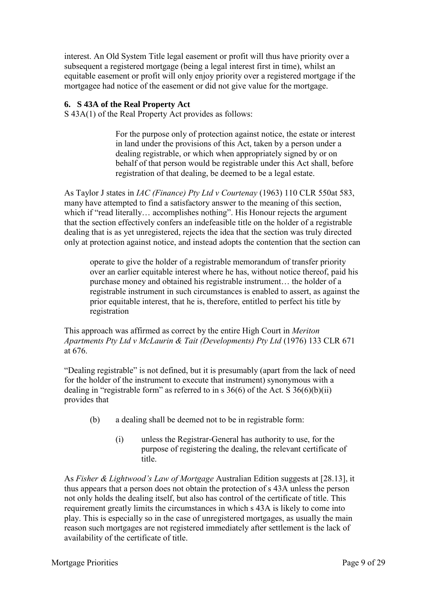interest. An Old System Title legal easement or profit will thus have priority over a subsequent a registered mortgage (being a legal interest first in time), whilst an equitable easement or profit will only enjoy priority over a registered mortgage if the mortgagee had notice of the easement or did not give value for the mortgage.

#### **6. S 43A of the Real Property Act**

S 43A(1) of the Real Property Act provides as follows:

For the purpose only of protection against notice, the estate or interest in land under the provisions of this Act, taken by a person under a dealing registrable, or which when appropriately signed by or on behalf of that person would be registrable under this Act shall, before registration of that dealing, be deemed to be a legal estate.

As Taylor J states in *IAC (Finance) Pty Ltd v Courtenay* (1963) 110 CLR 550at 583, many have attempted to find a satisfactory answer to the meaning of this section, which if "read literally... accomplishes nothing". His Honour rejects the argument that the section effectively confers an indefeasible title on the holder of a registrable dealing that is as yet unregistered, rejects the idea that the section was truly directed only at protection against notice, and instead adopts the contention that the section can

operate to give the holder of a registrable memorandum of transfer priority over an earlier equitable interest where he has, without notice thereof, paid his purchase money and obtained his registrable instrument… the holder of a registrable instrument in such circumstances is enabled to assert, as against the prior equitable interest, that he is, therefore, entitled to perfect his title by registration

This approach was affirmed as correct by the entire High Court in *Meriton Apartments Pty Ltd v McLaurin & Tait (Developments) Pty Ltd* (1976) 133 CLR 671 at 676.

"Dealing registrable" is not defined, but it is presumably (apart from the lack of need for the holder of the instrument to execute that instrument) synonymous with a dealing in "registrable form" as referred to in s  $36(6)$  of the Act. S  $36(6)(b)(ii)$ provides that

- (b) a dealing shall be deemed not to be in registrable form:
	- (i) unless the Registrar-General has authority to use, for the purpose of registering the dealing, the relevant certificate of title.

As *Fisher & Lightwood's Law of Mortgage* Australian Edition suggests at [28.13], it thus appears that a person does not obtain the protection of s 43A unless the person not only holds the dealing itself, but also has control of the certificate of title. This requirement greatly limits the circumstances in which s 43A is likely to come into play. This is especially so in the case of unregistered mortgages, as usually the main reason such mortgages are not registered immediately after settlement is the lack of availability of the certificate of title.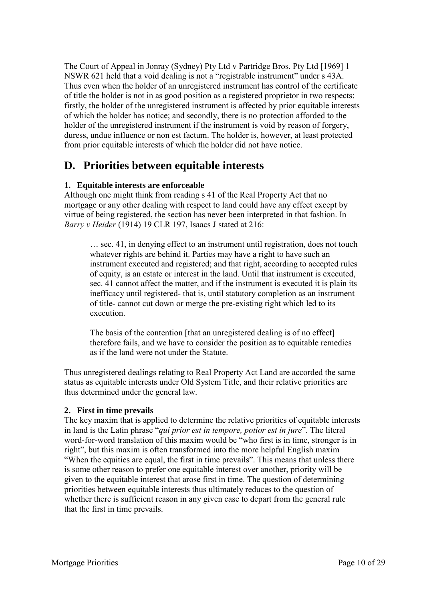The Court of Appeal in Jonray (Sydney) Pty Ltd v Partridge Bros. Pty Ltd [1969] 1 NSWR 621 held that a void dealing is not a "registrable instrument" under s 43A. Thus even when the holder of an unregistered instrument has control of the certificate of title the holder is not in as good position as a registered proprietor in two respects: firstly, the holder of the unregistered instrument is affected by prior equitable interests of which the holder has notice; and secondly, there is no protection afforded to the holder of the unregistered instrument if the instrument is void by reason of forgery, duress, undue influence or non est factum. The holder is, however, at least protected from prior equitable interests of which the holder did not have notice.

# **D. Priorities between equitable interests**

#### **1. Equitable interests are enforceable**

Although one might think from reading s 41 of the Real Property Act that no mortgage or any other dealing with respect to land could have any effect except by virtue of being registered, the section has never been interpreted in that fashion. In *Barry v Heider* (1914) 19 CLR 197, Isaacs J stated at 216:

… sec. 41, in denying effect to an instrument until registration, does not touch whatever rights are behind it. Parties may have a right to have such an instrument executed and registered; and that right, according to accepted rules of equity, is an estate or interest in the land. Until that instrument is executed, sec. 41 cannot affect the matter, and if the instrument is executed it is plain its inefficacy until registered- that is, until statutory completion as an instrument of title- cannot cut down or merge the pre-existing right which led to its execution.

The basis of the contention [that an unregistered dealing is of no effect] therefore fails, and we have to consider the position as to equitable remedies as if the land were not under the Statute.

Thus unregistered dealings relating to Real Property Act Land are accorded the same status as equitable interests under Old System Title, and their relative priorities are thus determined under the general law.

#### **2. First in time prevails**

The key maxim that is applied to determine the relative priorities of equitable interests in land is the Latin phrase "*qui prior est in tempore, potior est in jure*". The literal word-for-word translation of this maxim would be "who first is in time, stronger is in right", but this maxim is often transformed into the more helpful English maxim "When the equities are equal, the first in time prevails". This means that unless there is some other reason to prefer one equitable interest over another, priority will be given to the equitable interest that arose first in time. The question of determining priorities between equitable interests thus ultimately reduces to the question of whether there is sufficient reason in any given case to depart from the general rule that the first in time prevails.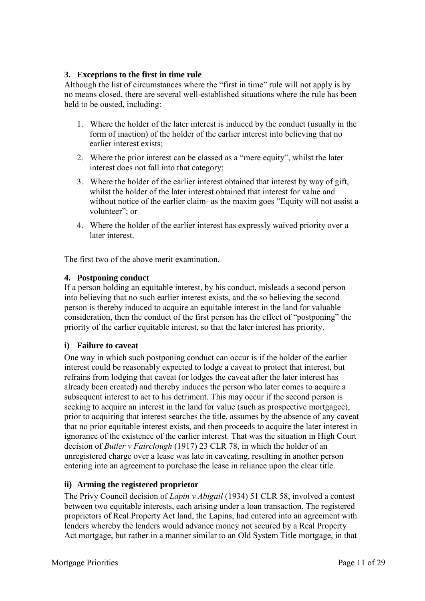#### **3. Exceptions to the first in time rule**

Although the list of circumstances where the "first in time" rule will not apply is by no means closed, there are several well-established situations where the rule has been held to be ousted, including:

- 1. Where the holder of the later interest is induced by the conduct (usually in the form of inaction) of the holder of the earlier interest into believing that no earlier interest exists;
- 2. Where the prior interest can be classed as a "mere equity", whilst the later interest does not fall into that category;
- 3. Where the holder of the earlier interest obtained that interest by way of gift, whilst the holder of the later interest obtained that interest for value and without notice of the earlier claim- as the maxim goes "Equity will not assist a volunteer"; or
- 4. Where the holder of the earlier interest has expressly waived priority over a later interest.

The first two of the above merit examination.

#### **4. Postponing conduct**

If a person holding an equitable interest, by his conduct, misleads a second person into believing that no such earlier interest exists, and the so believing the second person is thereby induced to acquire an equitable interest in the land for valuable consideration, then the conduct of the first person has the effect of "postponing" the priority of the earlier equitable interest, so that the later interest has priority.

#### **i) Failure to caveat**

One way in which such postponing conduct can occur is if the holder of the earlier interest could be reasonably expected to lodge a caveat to protect that interest, but refrains from lodging that caveat (or lodges the caveat after the later interest has already been created) and thereby induces the person who later comes to acquire a subsequent interest to act to his detriment. This may occur if the second person is seeking to acquire an interest in the land for value (such as prospective mortgagee), prior to acquiring that interest searches the title, assumes by the absence of any caveat that no prior equitable interest exists, and then proceeds to acquire the later interest in ignorance of the existence of the earlier interest. That was the situation in High Court decision of *Butler v Fairclough* (1917) 23 CLR 78, in which the holder of an unregistered charge over a lease was late in caveating, resulting in another person entering into an agreement to purchase the lease in reliance upon the clear title.

#### **ii) Arming the registered proprietor**

The Privy Council decision of *Lapin v Abigail* (1934) 51 CLR 58, involved a contest between two equitable interests, each arising under a loan transaction. The registered proprietors of Real Property Act land, the Lapins, had entered into an agreement with lenders whereby the lenders would advance money not secured by a Real Property Act mortgage, but rather in a manner similar to an Old System Title mortgage, in that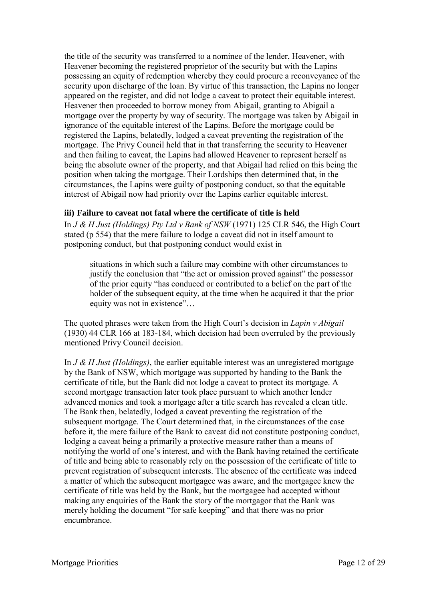the title of the security was transferred to a nominee of the lender, Heavener, with Heavener becoming the registered proprietor of the security but with the Lapins possessing an equity of redemption whereby they could procure a reconveyance of the security upon discharge of the loan. By virtue of this transaction, the Lapins no longer appeared on the register, and did not lodge a caveat to protect their equitable interest. Heavener then proceeded to borrow money from Abigail, granting to Abigail a mortgage over the property by way of security. The mortgage was taken by Abigail in ignorance of the equitable interest of the Lapins. Before the mortgage could be registered the Lapins, belatedly, lodged a caveat preventing the registration of the mortgage. The Privy Council held that in that transferring the security to Heavener and then failing to caveat, the Lapins had allowed Heavener to represent herself as being the absolute owner of the property, and that Abigail had relied on this being the position when taking the mortgage. Their Lordships then determined that, in the circumstances, the Lapins were guilty of postponing conduct, so that the equitable interest of Abigail now had priority over the Lapins earlier equitable interest.

#### **iii) Failure to caveat not fatal where the certificate of title is held**

In *J & H Just (Holdings) Pty Ltd v Bank of NSW* (1971) 125 CLR 546, the High Court stated (p 554) that the mere failure to lodge a caveat did not in itself amount to postponing conduct, but that postponing conduct would exist in

situations in which such a failure may combine with other circumstances to justify the conclusion that "the act or omission proved against" the possessor of the prior equity "has conduced or contributed to a belief on the part of the holder of the subsequent equity, at the time when he acquired it that the prior equity was not in existence"…

The quoted phrases were taken from the High Court's decision in *Lapin v Abigail* (1930) 44 CLR 166 at 183-184, which decision had been overruled by the previously mentioned Privy Council decision.

In *J & H Just (Holdings)*, the earlier equitable interest was an unregistered mortgage by the Bank of NSW, which mortgage was supported by handing to the Bank the certificate of title, but the Bank did not lodge a caveat to protect its mortgage. A second mortgage transaction later took place pursuant to which another lender advanced monies and took a mortgage after a title search has revealed a clean title. The Bank then, belatedly, lodged a caveat preventing the registration of the subsequent mortgage. The Court determined that, in the circumstances of the case before it, the mere failure of the Bank to caveat did not constitute postponing conduct, lodging a caveat being a primarily a protective measure rather than a means of notifying the world of one's interest, and with the Bank having retained the certificate of title and being able to reasonably rely on the possession of the certificate of title to prevent registration of subsequent interests. The absence of the certificate was indeed a matter of which the subsequent mortgagee was aware, and the mortgagee knew the certificate of title was held by the Bank, but the mortgagee had accepted without making any enquiries of the Bank the story of the mortgagor that the Bank was merely holding the document "for safe keeping" and that there was no prior encumbrance.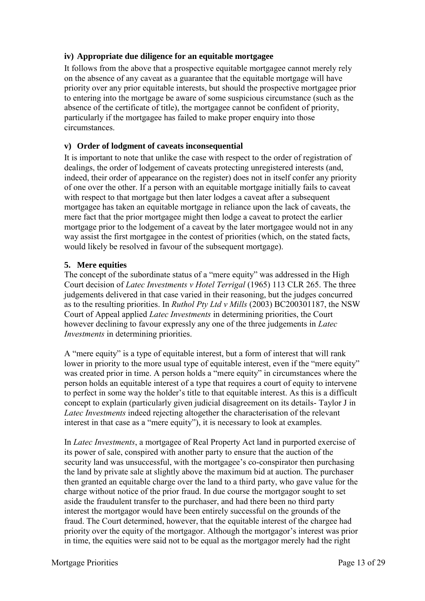#### **iv) Appropriate due diligence for an equitable mortgagee**

It follows from the above that a prospective equitable mortgagee cannot merely rely on the absence of any caveat as a guarantee that the equitable mortgage will have priority over any prior equitable interests, but should the prospective mortgagee prior to entering into the mortgage be aware of some suspicious circumstance (such as the absence of the certificate of title), the mortgagee cannot be confident of priority, particularly if the mortgagee has failed to make proper enquiry into those circumstances.

#### **v) Order of lodgment of caveats inconsequential**

It is important to note that unlike the case with respect to the order of registration of dealings, the order of lodgement of caveats protecting unregistered interests (and, indeed, their order of appearance on the register) does not in itself confer any priority of one over the other. If a person with an equitable mortgage initially fails to caveat with respect to that mortgage but then later lodges a caveat after a subsequent mortgagee has taken an equitable mortgage in reliance upon the lack of caveats, the mere fact that the prior mortgagee might then lodge a caveat to protect the earlier mortgage prior to the lodgement of a caveat by the later mortgagee would not in any way assist the first mortgagee in the contest of priorities (which, on the stated facts, would likely be resolved in favour of the subsequent mortgage).

#### **5. Mere equities**

The concept of the subordinate status of a "mere equity" was addressed in the High Court decision of *Latec Investments v Hotel Terrigal* (1965) 113 CLR 265. The three judgements delivered in that case varied in their reasoning, but the judges concurred as to the resulting priorities. In *Ruthol Pty Ltd v Mills* (2003) BC200301187, the NSW Court of Appeal applied *Latec Investments* in determining priorities, the Court however declining to favour expressly any one of the three judgements in *Latec Investments* in determining priorities.

A "mere equity" is a type of equitable interest, but a form of interest that will rank lower in priority to the more usual type of equitable interest, even if the "mere equity" was created prior in time. A person holds a "mere equity" in circumstances where the person holds an equitable interest of a type that requires a court of equity to intervene to perfect in some way the holder's title to that equitable interest. As this is a difficult concept to explain (particularly given judicial disagreement on its details- Taylor J in *Latec Investments* indeed rejecting altogether the characterisation of the relevant interest in that case as a "mere equity"), it is necessary to look at examples.

In *Latec Investments*, a mortgagee of Real Property Act land in purported exercise of its power of sale, conspired with another party to ensure that the auction of the security land was unsuccessful, with the mortgagee's co-conspirator then purchasing the land by private sale at slightly above the maximum bid at auction. The purchaser then granted an equitable charge over the land to a third party, who gave value for the charge without notice of the prior fraud. In due course the mortgagor sought to set aside the fraudulent transfer to the purchaser, and had there been no third party interest the mortgagor would have been entirely successful on the grounds of the fraud. The Court determined, however, that the equitable interest of the chargee had priority over the equity of the mortgagor. Although the mortgagor's interest was prior in time, the equities were said not to be equal as the mortgagor merely had the right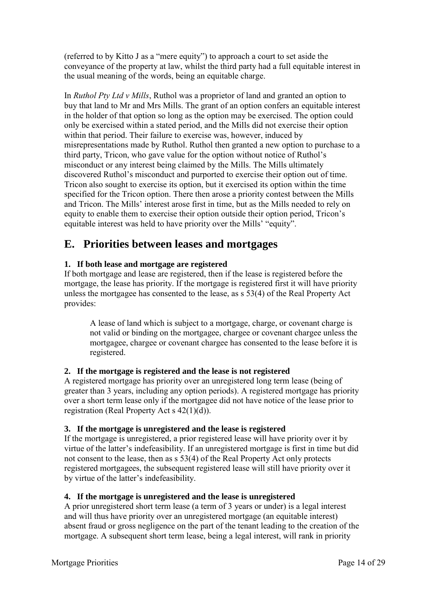(referred to by Kitto J as a "mere equity") to approach a court to set aside the conveyance of the property at law, whilst the third party had a full equitable interest in the usual meaning of the words, being an equitable charge.

In *Ruthol Pty Ltd v Mills*, Ruthol was a proprietor of land and granted an option to buy that land to Mr and Mrs Mills. The grant of an option confers an equitable interest in the holder of that option so long as the option may be exercised. The option could only be exercised within a stated period, and the Mills did not exercise their option within that period. Their failure to exercise was, however, induced by misrepresentations made by Ruthol. Ruthol then granted a new option to purchase to a third party, Tricon, who gave value for the option without notice of Ruthol's misconduct or any interest being claimed by the Mills. The Mills ultimately discovered Ruthol's misconduct and purported to exercise their option out of time. Tricon also sought to exercise its option, but it exercised its option within the time specified for the Tricon option. There then arose a priority contest between the Mills and Tricon. The Mills' interest arose first in time, but as the Mills needed to rely on equity to enable them to exercise their option outside their option period, Tricon's equitable interest was held to have priority over the Mills' "equity".

# **E. Priorities between leases and mortgages**

### **1. If both lease and mortgage are registered**

If both mortgage and lease are registered, then if the lease is registered before the mortgage, the lease has priority. If the mortgage is registered first it will have priority unless the mortgagee has consented to the lease, as s 53(4) of the Real Property Act provides:

A lease of land which is subject to a mortgage, charge, or covenant charge is not valid or binding on the mortgagee, chargee or covenant chargee unless the mortgagee, chargee or covenant chargee has consented to the lease before it is registered.

#### **2. If the mortgage is registered and the lease is not registered**

A registered mortgage has priority over an unregistered long term lease (being of greater than 3 years, including any option periods). A registered mortgage has priority over a short term lease only if the mortgagee did not have notice of the lease prior to registration (Real Property Act s 42(1)(d)).

#### **3. If the mortgage is unregistered and the lease is registered**

If the mortgage is unregistered, a prior registered lease will have priority over it by virtue of the latter's indefeasibility. If an unregistered mortgage is first in time but did not consent to the lease, then as s 53(4) of the Real Property Act only protects registered mortgagees, the subsequent registered lease will still have priority over it by virtue of the latter's indefeasibility.

#### **4. If the mortgage is unregistered and the lease is unregistered**

A prior unregistered short term lease (a term of 3 years or under) is a legal interest and will thus have priority over an unregistered mortgage (an equitable interest) absent fraud or gross negligence on the part of the tenant leading to the creation of the mortgage. A subsequent short term lease, being a legal interest, will rank in priority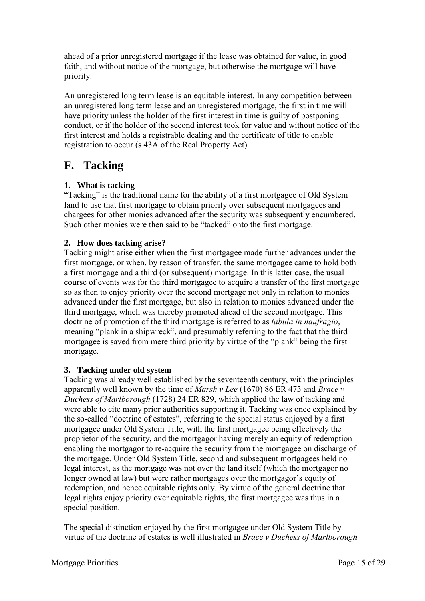ahead of a prior unregistered mortgage if the lease was obtained for value, in good faith, and without notice of the mortgage, but otherwise the mortgage will have priority.

An unregistered long term lease is an equitable interest. In any competition between an unregistered long term lease and an unregistered mortgage, the first in time will have priority unless the holder of the first interest in time is guilty of postponing conduct, or if the holder of the second interest took for value and without notice of the first interest and holds a registrable dealing and the certificate of title to enable registration to occur (s 43A of the Real Property Act).

# **F. Tacking**

### **1. What is tacking**

"Tacking" is the traditional name for the ability of a first mortgagee of Old System land to use that first mortgage to obtain priority over subsequent mortgagees and chargees for other monies advanced after the security was subsequently encumbered. Such other monies were then said to be "tacked" onto the first mortgage.

### **2. How does tacking arise?**

Tacking might arise either when the first mortgagee made further advances under the first mortgage, or when, by reason of transfer, the same mortgagee came to hold both a first mortgage and a third (or subsequent) mortgage. In this latter case, the usual course of events was for the third mortgagee to acquire a transfer of the first mortgage so as then to enjoy priority over the second mortgage not only in relation to monies advanced under the first mortgage, but also in relation to monies advanced under the third mortgage, which was thereby promoted ahead of the second mortgage. This doctrine of promotion of the third mortgage is referred to as *tabula in naufragio*, meaning "plank in a shipwreck", and presumably referring to the fact that the third mortgagee is saved from mere third priority by virtue of the "plank" being the first mortgage.

### **3. Tacking under old system**

Tacking was already well established by the seventeenth century, with the principles apparently well known by the time of *Marsh v Lee* (1670) 86 ER 473 and *Brace v Duchess of Marlborough* (1728) 24 ER 829, which applied the law of tacking and were able to cite many prior authorities supporting it. Tacking was once explained by the so-called "doctrine of estates", referring to the special status enjoyed by a first mortgagee under Old System Title, with the first mortgagee being effectively the proprietor of the security, and the mortgagor having merely an equity of redemption enabling the mortgagor to re-acquire the security from the mortgagee on discharge of the mortgage. Under Old System Title, second and subsequent mortgagees held no legal interest, as the mortgage was not over the land itself (which the mortgagor no longer owned at law) but were rather mortgages over the mortgagor's equity of redemption, and hence equitable rights only. By virtue of the general doctrine that legal rights enjoy priority over equitable rights, the first mortgagee was thus in a special position.

The special distinction enjoyed by the first mortgagee under Old System Title by virtue of the doctrine of estates is well illustrated in *Brace v Duchess of Marlborough*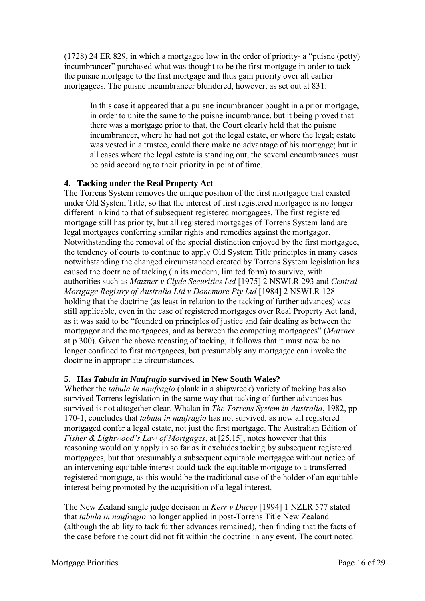(1728) 24 ER 829, in which a mortgagee low in the order of priority- a "puisne (petty) incumbrancer" purchased what was thought to be the first mortgage in order to tack the puisne mortgage to the first mortgage and thus gain priority over all earlier mortgagees. The puisne incumbrancer blundered, however, as set out at 831:

In this case it appeared that a puisne incumbrancer bought in a prior mortgage, in order to unite the same to the puisne incumbrance, but it being proved that there was a mortgage prior to that, the Court clearly held that the puisne incumbrancer, where he had not got the legal estate, or where the legal; estate was vested in a trustee, could there make no advantage of his mortgage; but in all cases where the legal estate is standing out, the several encumbrances must be paid according to their priority in point of time.

#### **4. Tacking under the Real Property Act**

The Torrens System removes the unique position of the first mortgagee that existed under Old System Title, so that the interest of first registered mortgagee is no longer different in kind to that of subsequent registered mortgagees. The first registered mortgage still has priority, but all registered mortgages of Torrens System land are legal mortgages conferring similar rights and remedies against the mortgagor. Notwithstanding the removal of the special distinction enjoyed by the first mortgagee, the tendency of courts to continue to apply Old System Title principles in many cases notwithstanding the changed circumstanced created by Torrens System legislation has caused the doctrine of tacking (in its modern, limited form) to survive, with authorities such as *Matzner v Clyde Securities Ltd* [1975] 2 NSWLR 293 and *Central Mortgage Registry of Australia Ltd v Donemore Pty Ltd* [1984] 2 NSWLR 128 holding that the doctrine (as least in relation to the tacking of further advances) was still applicable, even in the case of registered mortgages over Real Property Act land, as it was said to be "founded on principles of justice and fair dealing as between the mortgagor and the mortgagees, and as between the competing mortgagees" (*Matzner* at p 300). Given the above recasting of tacking, it follows that it must now be no longer confined to first mortgagees, but presumably any mortgagee can invoke the doctrine in appropriate circumstances.

### **5. Has** *Tabula in Naufragio* **survived in New South Wales?**

Whether the *tabula in naufragio* (plank in a shipwreck) variety of tacking has also survived Torrens legislation in the same way that tacking of further advances has survived is not altogether clear. Whalan in *The Torrens System in Australia*, 1982, pp 170-1, concludes that *tabula in naufragio* has not survived, as now all registered mortgaged confer a legal estate, not just the first mortgage. The Australian Edition of *Fisher & Lightwood's Law of Mortgages*, at [25.15], notes however that this reasoning would only apply in so far as it excludes tacking by subsequent registered mortgagees, but that presumably a subsequent equitable mortgagee without notice of an intervening equitable interest could tack the equitable mortgage to a transferred registered mortgage, as this would be the traditional case of the holder of an equitable interest being promoted by the acquisition of a legal interest.

The New Zealand single judge decision in *Kerr v Ducey* [1994] 1 NZLR 577 stated that *tabula in naufragio* no longer applied in post-Torrens Title New Zealand (although the ability to tack further advances remained), then finding that the facts of the case before the court did not fit within the doctrine in any event. The court noted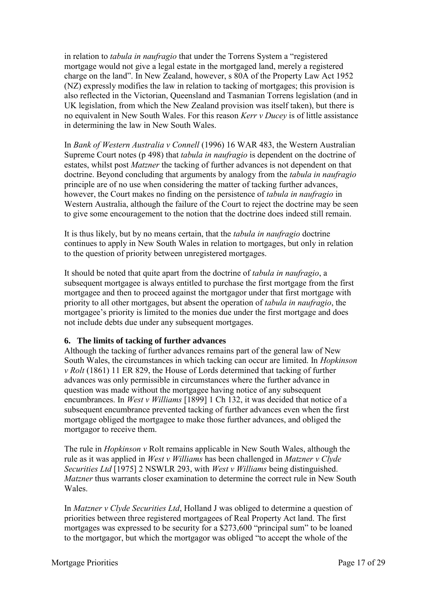in relation to *tabula in naufragio* that under the Torrens System a "registered mortgage would not give a legal estate in the mortgaged land, merely a registered charge on the land". In New Zealand, however, s 80A of the Property Law Act 1952 (NZ) expressly modifies the law in relation to tacking of mortgages; this provision is also reflected in the Victorian, Queensland and Tasmanian Torrens legislation (and in UK legislation, from which the New Zealand provision was itself taken), but there is no equivalent in New South Wales. For this reason *Kerr v Ducey* is of little assistance in determining the law in New South Wales.

In *Bank of Western Australia v Connell* (1996) 16 WAR 483, the Western Australian Supreme Court notes (p 498) that *tabula in naufragio* is dependent on the doctrine of estates, whilst post *Matzner* the tacking of further advances is not dependent on that doctrine. Beyond concluding that arguments by analogy from the *tabula in naufragio* principle are of no use when considering the matter of tacking further advances, however, the Court makes no finding on the persistence of *tabula in naufragio* in Western Australia, although the failure of the Court to reject the doctrine may be seen to give some encouragement to the notion that the doctrine does indeed still remain.

It is thus likely, but by no means certain, that the *tabula in naufragio* doctrine continues to apply in New South Wales in relation to mortgages, but only in relation to the question of priority between unregistered mortgages.

It should be noted that quite apart from the doctrine of *tabula in naufragio*, a subsequent mortgagee is always entitled to purchase the first mortgage from the first mortgagee and then to proceed against the mortgagor under that first mortgage with priority to all other mortgages, but absent the operation of *tabula in naufragio*, the mortgagee's priority is limited to the monies due under the first mortgage and does not include debts due under any subsequent mortgages.

#### **6. The limits of tacking of further advances**

Although the tacking of further advances remains part of the general law of New South Wales, the circumstances in which tacking can occur are limited. In *Hopkinson v Rolt* (1861) 11 ER 829, the House of Lords determined that tacking of further advances was only permissible in circumstances where the further advance in question was made without the mortgagee having notice of any subsequent encumbrances. In *West v Williams* [1899] 1 Ch 132, it was decided that notice of a subsequent encumbrance prevented tacking of further advances even when the first mortgage obliged the mortgagee to make those further advances, and obliged the mortgagor to receive them.

The rule in *Hopkinson v* Rolt remains applicable in New South Wales, although the rule as it was applied in *West v Williams* has been challenged in *Matzner v Clyde Securities Ltd* [1975] 2 NSWLR 293, with *West v Williams* being distinguished. *Matzner* thus warrants closer examination to determine the correct rule in New South Wales.

In *Matzner v Clyde Securities Ltd*, Holland J was obliged to determine a question of priorities between three registered mortgagees of Real Property Act land. The first mortgages was expressed to be security for a \$273,600 "principal sum" to be loaned to the mortgagor, but which the mortgagor was obliged "to accept the whole of the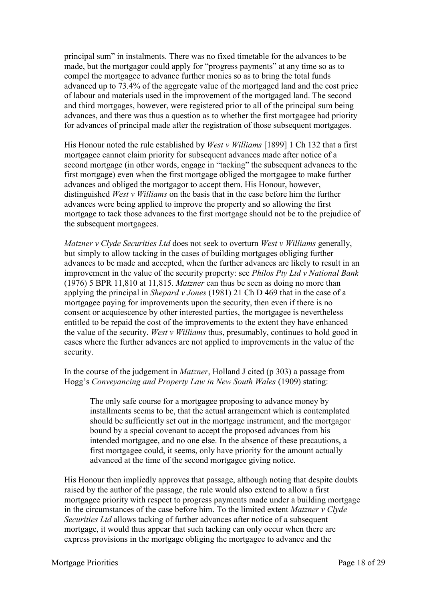principal sum" in instalments. There was no fixed timetable for the advances to be made, but the mortgagor could apply for "progress payments" at any time so as to compel the mortgagee to advance further monies so as to bring the total funds advanced up to 73.4% of the aggregate value of the mortgaged land and the cost price of labour and materials used in the improvement of the mortgaged land. The second and third mortgages, however, were registered prior to all of the principal sum being advances, and there was thus a question as to whether the first mortgagee had priority for advances of principal made after the registration of those subsequent mortgages.

His Honour noted the rule established by *West v Williams* [1899] 1 Ch 132 that a first mortgagee cannot claim priority for subsequent advances made after notice of a second mortgage (in other words, engage in "tacking" the subsequent advances to the first mortgage) even when the first mortgage obliged the mortgagee to make further advances and obliged the mortgagor to accept them. His Honour, however, distinguished *West v Williams* on the basis that in the case before him the further advances were being applied to improve the property and so allowing the first mortgage to tack those advances to the first mortgage should not be to the prejudice of the subsequent mortgagees.

*Matzner v Clyde Securities Ltd* does not seek to overturn *West v Williams* generally, but simply to allow tacking in the cases of building mortgages obliging further advances to be made and accepted, when the further advances are likely to result in an improvement in the value of the security property: see *Philos Pty Ltd v National Bank* (1976) 5 BPR 11,810 at 11,815. *Matzner* can thus be seen as doing no more than applying the principal in *Shepard v Jones* (1981) 21 Ch D 469 that in the case of a mortgagee paying for improvements upon the security, then even if there is no consent or acquiescence by other interested parties, the mortgagee is nevertheless entitled to be repaid the cost of the improvements to the extent they have enhanced the value of the security. *West v Williams* thus, presumably, continues to hold good in cases where the further advances are not applied to improvements in the value of the security.

#### In the course of the judgement in *Matzner*, Holland J cited (p 303) a passage from Hogg's *Conveyancing and Property Law in New South Wales* (1909) stating:

The only safe course for a mortgagee proposing to advance money by installments seems to be, that the actual arrangement which is contemplated should be sufficiently set out in the mortgage instrument, and the mortgagor bound by a special covenant to accept the proposed advances from his intended mortgagee, and no one else. In the absence of these precautions, a first mortgagee could, it seems, only have priority for the amount actually advanced at the time of the second mortgagee giving notice.

His Honour then impliedly approves that passage, although noting that despite doubts raised by the author of the passage, the rule would also extend to allow a first mortgagee priority with respect to progress payments made under a building mortgage in the circumstances of the case before him. To the limited extent *Matzner v Clyde Securities Ltd* allows tacking of further advances after notice of a subsequent mortgage, it would thus appear that such tacking can only occur when there are express provisions in the mortgage obliging the mortgagee to advance and the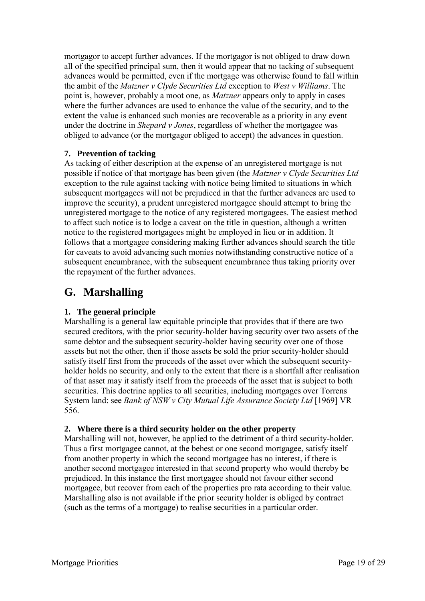mortgagor to accept further advances. If the mortgagor is not obliged to draw down all of the specified principal sum, then it would appear that no tacking of subsequent advances would be permitted, even if the mortgage was otherwise found to fall within the ambit of the *Matzner v Clyde Securities Ltd* exception to *West v Williams*. The point is, however, probably a moot one, as *Matzner* appears only to apply in cases where the further advances are used to enhance the value of the security, and to the extent the value is enhanced such monies are recoverable as a priority in any event under the doctrine in *Shepard v Jones*, regardless of whether the mortgagee was obliged to advance (or the mortgagor obliged to accept) the advances in question.

#### **7. Prevention of tacking**

As tacking of either description at the expense of an unregistered mortgage is not possible if notice of that mortgage has been given (the *Matzner v Clyde Securities Ltd* exception to the rule against tacking with notice being limited to situations in which subsequent mortgagees will not be prejudiced in that the further advances are used to improve the security), a prudent unregistered mortgagee should attempt to bring the unregistered mortgage to the notice of any registered mortgagees. The easiest method to affect such notice is to lodge a caveat on the title in question, although a written notice to the registered mortgagees might be employed in lieu or in addition. It follows that a mortgagee considering making further advances should search the title for caveats to avoid advancing such monies notwithstanding constructive notice of a subsequent encumbrance, with the subsequent encumbrance thus taking priority over the repayment of the further advances.

# **G. Marshalling**

#### **1. The general principle**

Marshalling is a general law equitable principle that provides that if there are two secured creditors, with the prior security-holder having security over two assets of the same debtor and the subsequent security-holder having security over one of those assets but not the other, then if those assets be sold the prior security-holder should satisfy itself first from the proceeds of the asset over which the subsequent securityholder holds no security, and only to the extent that there is a shortfall after realisation of that asset may it satisfy itself from the proceeds of the asset that is subject to both securities. This doctrine applies to all securities, including mortgages over Torrens System land: see *Bank of NSW v City Mutual Life Assurance Society Ltd* [1969] VR 556.

#### **2. Where there is a third security holder on the other property**

Marshalling will not, however, be applied to the detriment of a third security-holder. Thus a first mortgagee cannot, at the behest or one second mortgagee, satisfy itself from another property in which the second mortgagee has no interest, if there is another second mortgagee interested in that second property who would thereby be prejudiced. In this instance the first mortgagee should not favour either second mortgagee, but recover from each of the properties pro rata according to their value. Marshalling also is not available if the prior security holder is obliged by contract (such as the terms of a mortgage) to realise securities in a particular order.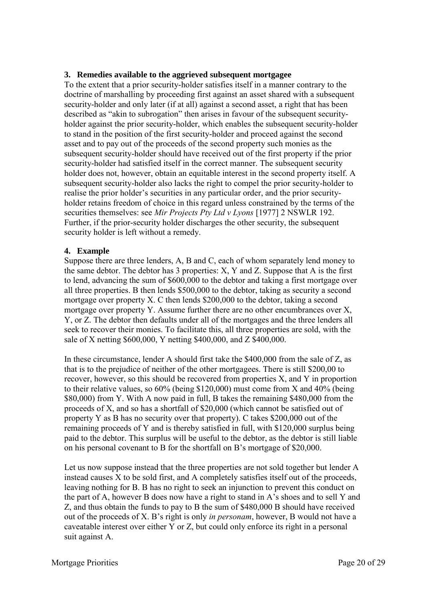#### **3. Remedies available to the aggrieved subsequent mortgagee**

To the extent that a prior security-holder satisfies itself in a manner contrary to the doctrine of marshalling by proceeding first against an asset shared with a subsequent security-holder and only later (if at all) against a second asset, a right that has been described as "akin to subrogation" then arises in favour of the subsequent securityholder against the prior security-holder, which enables the subsequent security-holder to stand in the position of the first security-holder and proceed against the second asset and to pay out of the proceeds of the second property such monies as the subsequent security-holder should have received out of the first property if the prior security-holder had satisfied itself in the correct manner. The subsequent security holder does not, however, obtain an equitable interest in the second property itself. A subsequent security-holder also lacks the right to compel the prior security-holder to realise the prior holder's securities in any particular order, and the prior securityholder retains freedom of choice in this regard unless constrained by the terms of the securities themselves: see *Mir Projects Pty Ltd v Lyons* [1977] 2 NSWLR 192. Further, if the prior-security holder discharges the other security, the subsequent security holder is left without a remedy.

#### **4. Example**

Suppose there are three lenders, A, B and C, each of whom separately lend money to the same debtor. The debtor has 3 properties: X, Y and Z. Suppose that A is the first to lend, advancing the sum of \$600,000 to the debtor and taking a first mortgage over all three properties. B then lends \$500,000 to the debtor, taking as security a second mortgage over property X. C then lends \$200,000 to the debtor, taking a second mortgage over property Y. Assume further there are no other encumbrances over X, Y, or Z. The debtor then defaults under all of the mortgages and the three lenders all seek to recover their monies. To facilitate this, all three properties are sold, with the sale of X netting \$600,000, Y netting \$400,000, and Z \$400,000.

In these circumstance, lender A should first take the \$400,000 from the sale of Z, as that is to the prejudice of neither of the other mortgagees. There is still \$200,00 to recover, however, so this should be recovered from properties X, and Y in proportion to their relative values, so 60% (being \$120,000) must come from X and 40% (being \$80,000) from Y. With A now paid in full, B takes the remaining \$480,000 from the proceeds of X, and so has a shortfall of \$20,000 (which cannot be satisfied out of property Y as B has no security over that property). C takes \$200,000 out of the remaining proceeds of Y and is thereby satisfied in full, with \$120,000 surplus being paid to the debtor. This surplus will be useful to the debtor, as the debtor is still liable on his personal covenant to B for the shortfall on B's mortgage of \$20,000.

Let us now suppose instead that the three properties are not sold together but lender A instead causes X to be sold first, and A completely satisfies itself out of the proceeds, leaving nothing for B. B has no right to seek an injunction to prevent this conduct on the part of A, however B does now have a right to stand in A's shoes and to sell Y and Z, and thus obtain the funds to pay to B the sum of \$480,000 B should have received out of the proceeds of X. B's right is only *in personam*, however, B would not have a caveatable interest over either Y or Z, but could only enforce its right in a personal suit against A.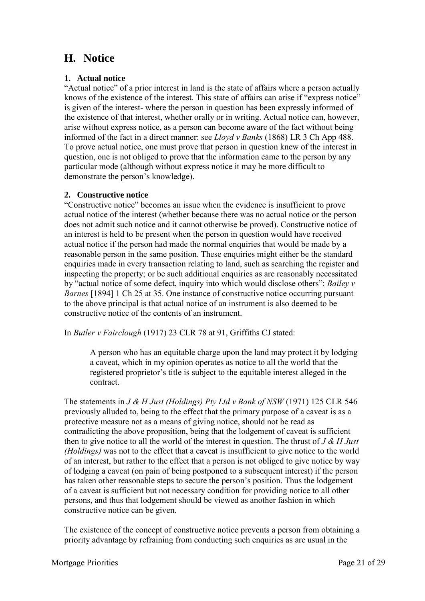# **H. Notice**

#### **1. Actual notice**

"Actual notice" of a prior interest in land is the state of affairs where a person actually knows of the existence of the interest. This state of affairs can arise if "express notice" is given of the interest- where the person in question has been expressly informed of the existence of that interest, whether orally or in writing. Actual notice can, however, arise without express notice, as a person can become aware of the fact without being informed of the fact in a direct manner: see *Lloyd v Banks* (1868) LR 3 Ch App 488. To prove actual notice, one must prove that person in question knew of the interest in question, one is not obliged to prove that the information came to the person by any particular mode (although without express notice it may be more difficult to demonstrate the person's knowledge).

#### **2. Constructive notice**

"Constructive notice" becomes an issue when the evidence is insufficient to prove actual notice of the interest (whether because there was no actual notice or the person does not admit such notice and it cannot otherwise be proved). Constructive notice of an interest is held to be present when the person in question would have received actual notice if the person had made the normal enquiries that would be made by a reasonable person in the same position. These enquiries might either be the standard enquiries made in every transaction relating to land, such as searching the register and inspecting the property; or be such additional enquiries as are reasonably necessitated by "actual notice of some defect, inquiry into which would disclose others": *Bailey v Barnes* [1894] 1 Ch 25 at 35. One instance of constructive notice occurring pursuant to the above principal is that actual notice of an instrument is also deemed to be constructive notice of the contents of an instrument.

In *Butler v Fairclough* (1917) 23 CLR 78 at 91, Griffiths CJ stated:

A person who has an equitable charge upon the land may protect it by lodging a caveat, which in my opinion operates as notice to all the world that the registered proprietor's title is subject to the equitable interest alleged in the contract.

The statements in *J & H Just (Holdings) Pty Ltd v Bank of NSW* (1971) 125 CLR 546 previously alluded to, being to the effect that the primary purpose of a caveat is as a protective measure not as a means of giving notice, should not be read as contradicting the above proposition, being that the lodgement of caveat is sufficient then to give notice to all the world of the interest in question. The thrust of *J & H Just (Holdings)* was not to the effect that a caveat is insufficient to give notice to the world of an interest, but rather to the effect that a person is not obliged to give notice by way of lodging a caveat (on pain of being postponed to a subsequent interest) if the person has taken other reasonable steps to secure the person's position. Thus the lodgement of a caveat is sufficient but not necessary condition for providing notice to all other persons, and thus that lodgement should be viewed as another fashion in which constructive notice can be given.

The existence of the concept of constructive notice prevents a person from obtaining a priority advantage by refraining from conducting such enquiries as are usual in the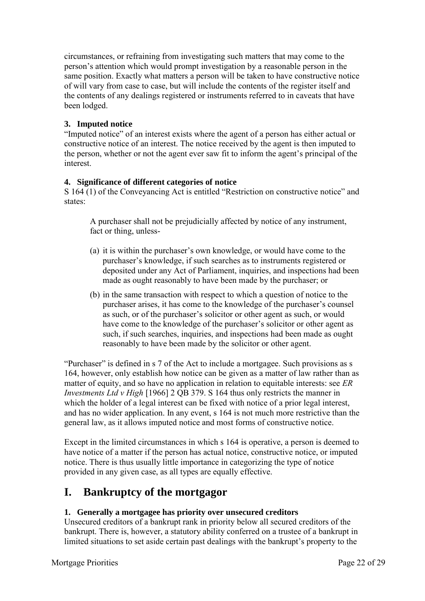circumstances, or refraining from investigating such matters that may come to the person's attention which would prompt investigation by a reasonable person in the same position. Exactly what matters a person will be taken to have constructive notice of will vary from case to case, but will include the contents of the register itself and the contents of any dealings registered or instruments referred to in caveats that have been lodged.

#### **3. Imputed notice**

"Imputed notice" of an interest exists where the agent of a person has either actual or constructive notice of an interest. The notice received by the agent is then imputed to the person, whether or not the agent ever saw fit to inform the agent's principal of the interest.

#### **4. Significance of different categories of notice**

S 164 (1) of the Conveyancing Act is entitled "Restriction on constructive notice" and states:

A purchaser shall not be prejudicially affected by notice of any instrument, fact or thing, unless-

- (a) it is within the purchaser's own knowledge, or would have come to the purchaser's knowledge, if such searches as to instruments registered or deposited under any Act of Parliament, inquiries, and inspections had been made as ought reasonably to have been made by the purchaser; or
- (b) in the same transaction with respect to which a question of notice to the purchaser arises, it has come to the knowledge of the purchaser's counsel as such, or of the purchaser's solicitor or other agent as such, or would have come to the knowledge of the purchaser's solicitor or other agent as such, if such searches, inquiries, and inspections had been made as ought reasonably to have been made by the solicitor or other agent.

"Purchaser" is defined in s 7 of the Act to include a mortgagee. Such provisions as s 164, however, only establish how notice can be given as a matter of law rather than as matter of equity, and so have no application in relation to equitable interests: see *ER Investments Ltd v High* [1966] 2 QB 379. S 164 thus only restricts the manner in which the holder of a legal interest can be fixed with notice of a prior legal interest, and has no wider application. In any event, s 164 is not much more restrictive than the general law, as it allows imputed notice and most forms of constructive notice.

Except in the limited circumstances in which s 164 is operative, a person is deemed to have notice of a matter if the person has actual notice, constructive notice, or imputed notice. There is thus usually little importance in categorizing the type of notice provided in any given case, as all types are equally effective.

# **I. Bankruptcy of the mortgagor**

#### **1. Generally a mortgagee has priority over unsecured creditors**

Unsecured creditors of a bankrupt rank in priority below all secured creditors of the bankrupt. There is, however, a statutory ability conferred on a trustee of a bankrupt in limited situations to set aside certain past dealings with the bankrupt's property to the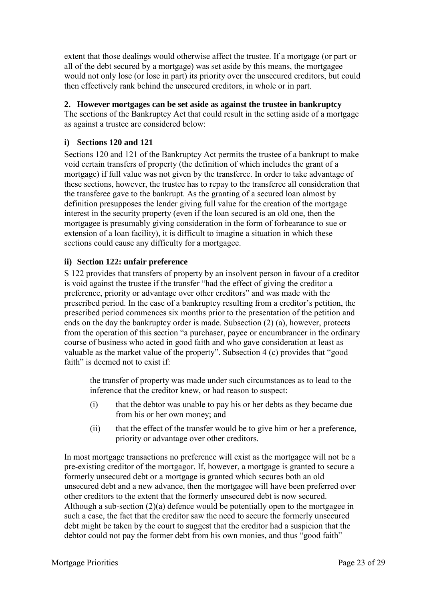extent that those dealings would otherwise affect the trustee. If a mortgage (or part or all of the debt secured by a mortgage) was set aside by this means, the mortgagee would not only lose (or lose in part) its priority over the unsecured creditors, but could then effectively rank behind the unsecured creditors, in whole or in part.

### **2. However mortgages can be set aside as against the trustee in bankruptcy**

The sections of the Bankruptcy Act that could result in the setting aside of a mortgage as against a trustee are considered below:

### **i) Sections 120 and 121**

Sections 120 and 121 of the Bankruptcy Act permits the trustee of a bankrupt to make void certain transfers of property (the definition of which includes the grant of a mortgage) if full value was not given by the transferee. In order to take advantage of these sections, however, the trustee has to repay to the transferee all consideration that the transferee gave to the bankrupt. As the granting of a secured loan almost by definition presupposes the lender giving full value for the creation of the mortgage interest in the security property (even if the loan secured is an old one, then the mortgagee is presumably giving consideration in the form of forbearance to sue or extension of a loan facility), it is difficult to imagine a situation in which these sections could cause any difficulty for a mortgagee.

### **ii) Section 122: unfair preference**

S 122 provides that transfers of property by an insolvent person in favour of a creditor is void against the trustee if the transfer "had the effect of giving the creditor a preference, priority or advantage over other creditors" and was made with the prescribed period. In the case of a bankruptcy resulting from a creditor's petition, the prescribed period commences six months prior to the presentation of the petition and ends on the day the bankruptcy order is made. Subsection (2) (a), however, protects from the operation of this section "a purchaser, payee or encumbrancer in the ordinary course of business who acted in good faith and who gave consideration at least as valuable as the market value of the property". Subsection 4 (c) provides that "good faith" is deemed not to exist if:

the transfer of property was made under such circumstances as to lead to the inference that the creditor knew, or had reason to suspect:

- (i) that the debtor was unable to pay his or her debts as they became due from his or her own money; and
- (ii) that the effect of the transfer would be to give him or her a preference, priority or advantage over other creditors.

In most mortgage transactions no preference will exist as the mortgagee will not be a pre-existing creditor of the mortgagor. If, however, a mortgage is granted to secure a formerly unsecured debt or a mortgage is granted which secures both an old unsecured debt and a new advance, then the mortgagee will have been preferred over other creditors to the extent that the formerly unsecured debt is now secured. Although a sub-section (2)(a) defence would be potentially open to the mortgagee in such a case, the fact that the creditor saw the need to secure the formerly unsecured debt might be taken by the court to suggest that the creditor had a suspicion that the debtor could not pay the former debt from his own monies, and thus "good faith"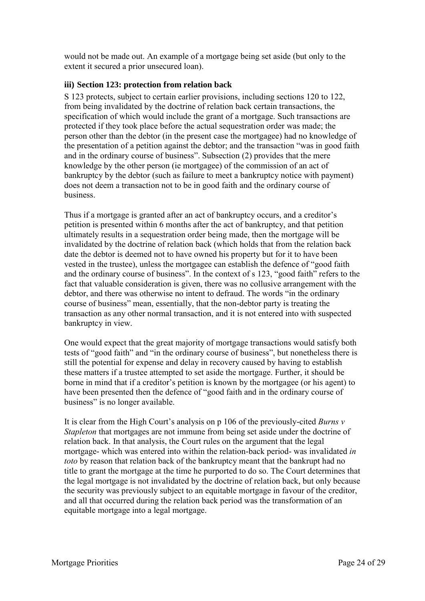would not be made out. An example of a mortgage being set aside (but only to the extent it secured a prior unsecured loan).

#### **iii) Section 123: protection from relation back**

S 123 protects, subject to certain earlier provisions, including sections 120 to 122, from being invalidated by the doctrine of relation back certain transactions, the specification of which would include the grant of a mortgage. Such transactions are protected if they took place before the actual sequestration order was made; the person other than the debtor (in the present case the mortgagee) had no knowledge of the presentation of a petition against the debtor; and the transaction "was in good faith and in the ordinary course of business". Subsection (2) provides that the mere knowledge by the other person (ie mortgagee) of the commission of an act of bankruptcy by the debtor (such as failure to meet a bankruptcy notice with payment) does not deem a transaction not to be in good faith and the ordinary course of business.

Thus if a mortgage is granted after an act of bankruptcy occurs, and a creditor's petition is presented within 6 months after the act of bankruptcy, and that petition ultimately results in a sequestration order being made, then the mortgage will be invalidated by the doctrine of relation back (which holds that from the relation back date the debtor is deemed not to have owned his property but for it to have been vested in the trustee), unless the mortgagee can establish the defence of "good faith and the ordinary course of business". In the context of s 123, "good faith" refers to the fact that valuable consideration is given, there was no collusive arrangement with the debtor, and there was otherwise no intent to defraud. The words "in the ordinary course of business" mean, essentially, that the non-debtor party is treating the transaction as any other normal transaction, and it is not entered into with suspected bankruptcy in view.

One would expect that the great majority of mortgage transactions would satisfy both tests of "good faith" and "in the ordinary course of business", but nonetheless there is still the potential for expense and delay in recovery caused by having to establish these matters if a trustee attempted to set aside the mortgage. Further, it should be borne in mind that if a creditor's petition is known by the mortgagee (or his agent) to have been presented then the defence of "good faith and in the ordinary course of business" is no longer available.

It is clear from the High Court's analysis on p 106 of the previously-cited *Burns v Stapleton* that mortgages are not immune from being set aside under the doctrine of relation back. In that analysis, the Court rules on the argument that the legal mortgage- which was entered into within the relation-back period- was invalidated *in toto* by reason that relation back of the bankruptcy meant that the bankrupt had no title to grant the mortgage at the time he purported to do so. The Court determines that the legal mortgage is not invalidated by the doctrine of relation back, but only because the security was previously subject to an equitable mortgage in favour of the creditor, and all that occurred during the relation back period was the transformation of an equitable mortgage into a legal mortgage.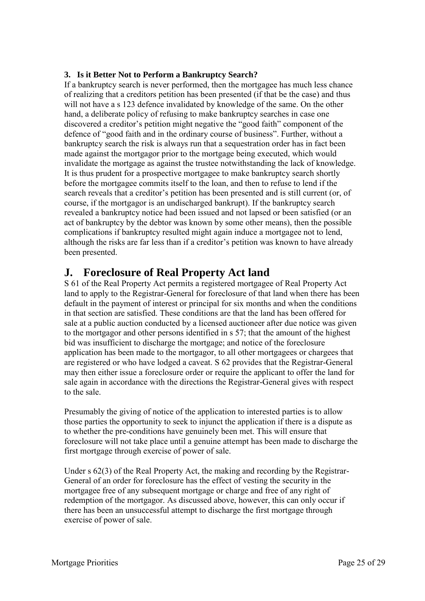#### **3. Is it Better Not to Perform a Bankruptcy Search?**

If a bankruptcy search is never performed, then the mortgagee has much less chance of realizing that a creditors petition has been presented (if that be the case) and thus will not have a s 123 defence invalidated by knowledge of the same. On the other hand, a deliberate policy of refusing to make bankruptcy searches in case one discovered a creditor's petition might negative the "good faith" component of the defence of "good faith and in the ordinary course of business". Further, without a bankruptcy search the risk is always run that a sequestration order has in fact been made against the mortgagor prior to the mortgage being executed, which would invalidate the mortgage as against the trustee notwithstanding the lack of knowledge. It is thus prudent for a prospective mortgagee to make bankruptcy search shortly before the mortgagee commits itself to the loan, and then to refuse to lend if the search reveals that a creditor's petition has been presented and is still current (or, of course, if the mortgagor is an undischarged bankrupt). If the bankruptcy search revealed a bankruptcy notice had been issued and not lapsed or been satisfied (or an act of bankruptcy by the debtor was known by some other means), then the possible complications if bankruptcy resulted might again induce a mortgagee not to lend, although the risks are far less than if a creditor's petition was known to have already been presented.

# **J. Foreclosure of Real Property Act land**

S 61 of the Real Property Act permits a registered mortgagee of Real Property Act land to apply to the Registrar-General for foreclosure of that land when there has been default in the payment of interest or principal for six months and when the conditions in that section are satisfied. These conditions are that the land has been offered for sale at a public auction conducted by a licensed auctioneer after due notice was given to the mortgagor and other persons identified in s 57; that the amount of the highest bid was insufficient to discharge the mortgage; and notice of the foreclosure application has been made to the mortgagor, to all other mortgagees or chargees that are registered or who have lodged a caveat. S 62 provides that the Registrar-General may then either issue a foreclosure order or require the applicant to offer the land for sale again in accordance with the directions the Registrar-General gives with respect to the sale.

Presumably the giving of notice of the application to interested parties is to allow those parties the opportunity to seek to injunct the application if there is a dispute as to whether the pre-conditions have genuinely been met. This will ensure that foreclosure will not take place until a genuine attempt has been made to discharge the first mortgage through exercise of power of sale.

Under s 62(3) of the Real Property Act, the making and recording by the Registrar-General of an order for foreclosure has the effect of vesting the security in the mortgagee free of any subsequent mortgage or charge and free of any right of redemption of the mortgagor. As discussed above, however, this can only occur if there has been an unsuccessful attempt to discharge the first mortgage through exercise of power of sale.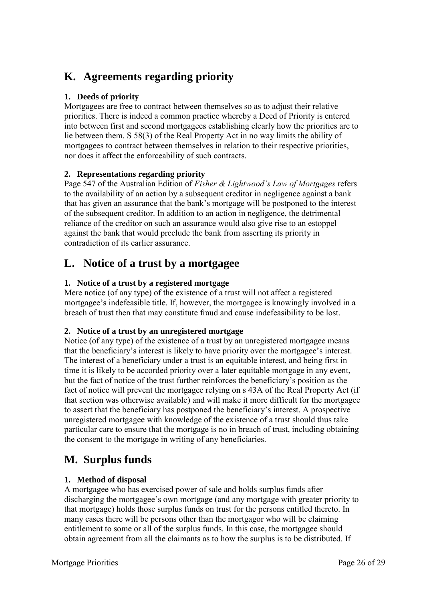# **K. Agreements regarding priority**

#### **1. Deeds of priority**

Mortgagees are free to contract between themselves so as to adjust their relative priorities. There is indeed a common practice whereby a Deed of Priority is entered into between first and second mortgagees establishing clearly how the priorities are to lie between them. S 58(3) of the Real Property Act in no way limits the ability of mortgagees to contract between themselves in relation to their respective priorities, nor does it affect the enforceability of such contracts.

#### **2. Representations regarding priority**

Page 547 of the Australian Edition of *Fisher & Lightwood's Law of Mortgages* refers to the availability of an action by a subsequent creditor in negligence against a bank that has given an assurance that the bank's mortgage will be postponed to the interest of the subsequent creditor. In addition to an action in negligence, the detrimental reliance of the creditor on such an assurance would also give rise to an estoppel against the bank that would preclude the bank from asserting its priority in contradiction of its earlier assurance.

# **L. Notice of a trust by a mortgagee**

### **1. Notice of a trust by a registered mortgage**

Mere notice (of any type) of the existence of a trust will not affect a registered mortgagee's indefeasible title. If, however, the mortgagee is knowingly involved in a breach of trust then that may constitute fraud and cause indefeasibility to be lost.

### **2. Notice of a trust by an unregistered mortgage**

Notice (of any type) of the existence of a trust by an unregistered mortgagee means that the beneficiary's interest is likely to have priority over the mortgagee's interest. The interest of a beneficiary under a trust is an equitable interest, and being first in time it is likely to be accorded priority over a later equitable mortgage in any event, but the fact of notice of the trust further reinforces the beneficiary's position as the fact of notice will prevent the mortgagee relying on s 43A of the Real Property Act (if that section was otherwise available) and will make it more difficult for the mortgagee to assert that the beneficiary has postponed the beneficiary's interest. A prospective unregistered mortgagee with knowledge of the existence of a trust should thus take particular care to ensure that the mortgage is no in breach of trust, including obtaining the consent to the mortgage in writing of any beneficiaries.

# **M. Surplus funds**

### **1. Method of disposal**

A mortgagee who has exercised power of sale and holds surplus funds after discharging the mortgagee's own mortgage (and any mortgage with greater priority to that mortgage) holds those surplus funds on trust for the persons entitled thereto. In many cases there will be persons other than the mortgagor who will be claiming entitlement to some or all of the surplus funds. In this case, the mortgagee should obtain agreement from all the claimants as to how the surplus is to be distributed. If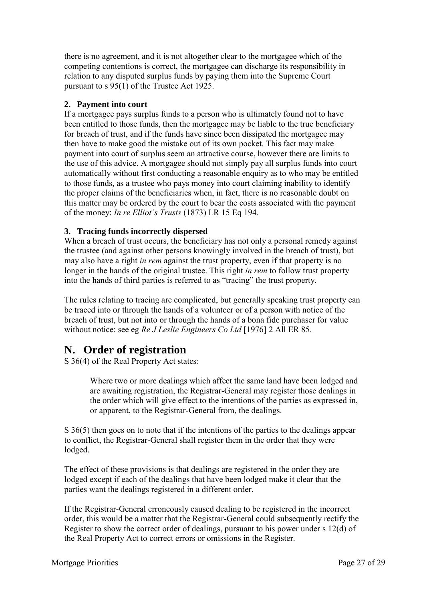there is no agreement, and it is not altogether clear to the mortgagee which of the competing contentions is correct, the mortgagee can discharge its responsibility in relation to any disputed surplus funds by paying them into the Supreme Court pursuant to s 95(1) of the Trustee Act 1925.

#### **2. Payment into court**

If a mortgagee pays surplus funds to a person who is ultimately found not to have been entitled to those funds, then the mortgagee may be liable to the true beneficiary for breach of trust, and if the funds have since been dissipated the mortgagee may then have to make good the mistake out of its own pocket. This fact may make payment into court of surplus seem an attractive course, however there are limits to the use of this advice. A mortgagee should not simply pay all surplus funds into court automatically without first conducting a reasonable enquiry as to who may be entitled to those funds, as a trustee who pays money into court claiming inability to identify the proper claims of the beneficiaries when, in fact, there is no reasonable doubt on this matter may be ordered by the court to bear the costs associated with the payment of the money: *In re Elliot's Trusts* (1873) LR 15 Eq 194.

#### **3. Tracing funds incorrectly dispersed**

When a breach of trust occurs, the beneficiary has not only a personal remedy against the trustee (and against other persons knowingly involved in the breach of trust), but may also have a right *in rem* against the trust property, even if that property is no longer in the hands of the original trustee. This right *in rem* to follow trust property into the hands of third parties is referred to as "tracing" the trust property.

The rules relating to tracing are complicated, but generally speaking trust property can be traced into or through the hands of a volunteer or of a person with notice of the breach of trust, but not into or through the hands of a bona fide purchaser for value without notice: see eg *Re J Leslie Engineers Co Ltd* [1976] 2 All ER 85.

### **N. Order of registration**

S 36(4) of the Real Property Act states:

Where two or more dealings which affect the same land have been lodged and are awaiting registration, the Registrar-General may register those dealings in the order which will give effect to the intentions of the parties as expressed in, or apparent, to the Registrar-General from, the dealings.

S 36(5) then goes on to note that if the intentions of the parties to the dealings appear to conflict, the Registrar-General shall register them in the order that they were lodged.

The effect of these provisions is that dealings are registered in the order they are lodged except if each of the dealings that have been lodged make it clear that the parties want the dealings registered in a different order.

If the Registrar-General erroneously caused dealing to be registered in the incorrect order, this would be a matter that the Registrar-General could subsequently rectify the Register to show the correct order of dealings, pursuant to his power under s 12(d) of the Real Property Act to correct errors or omissions in the Register.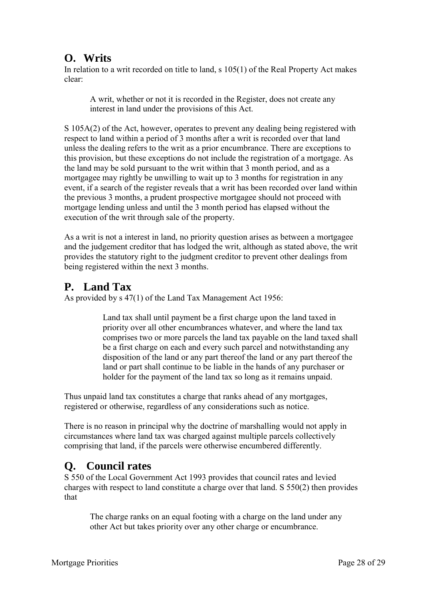# **O. Writs**

In relation to a writ recorded on title to land, s 105(1) of the Real Property Act makes clear:

A writ, whether or not it is recorded in the Register, does not create any interest in land under the provisions of this Act.

S 105A(2) of the Act, however, operates to prevent any dealing being registered with respect to land within a period of 3 months after a writ is recorded over that land unless the dealing refers to the writ as a prior encumbrance. There are exceptions to this provision, but these exceptions do not include the registration of a mortgage. As the land may be sold pursuant to the writ within that 3 month period, and as a mortgagee may rightly be unwilling to wait up to 3 months for registration in any event, if a search of the register reveals that a writ has been recorded over land within the previous 3 months, a prudent prospective mortgagee should not proceed with mortgage lending unless and until the 3 month period has elapsed without the execution of the writ through sale of the property.

As a writ is not a interest in land, no priority question arises as between a mortgagee and the judgement creditor that has lodged the writ, although as stated above, the writ provides the statutory right to the judgment creditor to prevent other dealings from being registered within the next 3 months.

# **P. Land Tax**

As provided by s 47(1) of the Land Tax Management Act 1956:

Land tax shall until payment be a first charge upon the land taxed in priority over all other encumbrances whatever, and where the land tax comprises two or more parcels the land tax payable on the land taxed shall be a first charge on each and every such parcel and notwithstanding any disposition of the land or any part thereof the land or any part thereof the land or part shall continue to be liable in the hands of any purchaser or holder for the payment of the land tax so long as it remains unpaid.

Thus unpaid land tax constitutes a charge that ranks ahead of any mortgages, registered or otherwise, regardless of any considerations such as notice.

There is no reason in principal why the doctrine of marshalling would not apply in circumstances where land tax was charged against multiple parcels collectively comprising that land, if the parcels were otherwise encumbered differently.

# **Q. Council rates**

S 550 of the Local Government Act 1993 provides that council rates and levied charges with respect to land constitute a charge over that land. S 550(2) then provides that

The charge ranks on an equal footing with a charge on the land under any other Act but takes priority over any other charge or encumbrance.